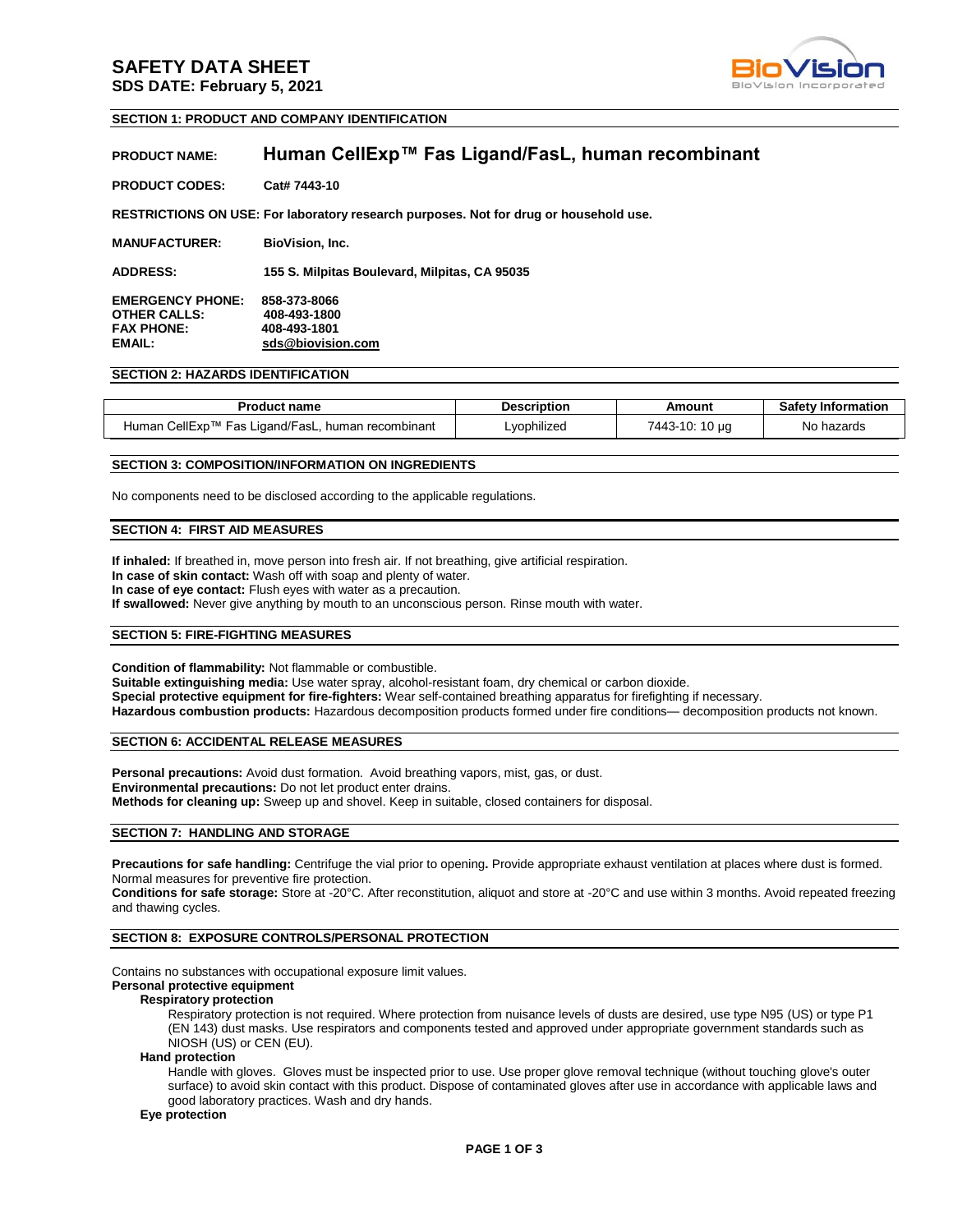## **SAFETY DATA SHEET SDS DATE: February 5, 2021**



### **SECTION 1: PRODUCT AND COMPANY IDENTIFICATION**

## **PRODUCT NAME: Human CellExp™ Fas Ligand/FasL, human recombinant**

| <b>PRODUCT CODES:</b> | Cat# 7443-10 |
|-----------------------|--------------|
|                       |              |

**RESTRICTIONS ON USE: For laboratory research purposes. Not for drug or household use.**

**MANUFACTURER: BioVision, Inc.**

**ADDRESS: 155 S. Milpitas Boulevard, Milpitas, CA 95035**

**EMERGENCY PHONE: 858-373-8066 OTHER CALLS:**<br>FAX PHONE: **FAX PHONE: 408-493-1801 EMAIL: sds@biovision.com**

### **SECTION 2: HAZARDS IDENTIFICATION**

| <b>Product name</b>                               | Description | Amount         | <b>Safety Information</b> |
|---------------------------------------------------|-------------|----------------|---------------------------|
| Human CellExp™ Fas Ligand/FasL, human recombinant | ∟vophilized | 7443-10: 10 µg | No hazards                |

### **SECTION 3: COMPOSITION/INFORMATION ON INGREDIENTS**

No components need to be disclosed according to the applicable regulations.

### **SECTION 4: FIRST AID MEASURES**

**If inhaled:** If breathed in, move person into fresh air. If not breathing, give artificial respiration. **In case of skin contact:** Wash off with soap and plenty of water. **In case of eye contact:** Flush eyes with water as a precaution. **If swallowed:** Never give anything by mouth to an unconscious person. Rinse mouth with water.

### **SECTION 5: FIRE-FIGHTING MEASURES**

**Condition of flammability:** Not flammable or combustible. **Suitable extinguishing media:** Use water spray, alcohol-resistant foam, dry chemical or carbon dioxide. **Special protective equipment for fire-fighters:** Wear self-contained breathing apparatus for firefighting if necessary. **Hazardous combustion products:** Hazardous decomposition products formed under fire conditions— decomposition products not known.

### **SECTION 6: ACCIDENTAL RELEASE MEASURES**

**Personal precautions:** Avoid dust formation. Avoid breathing vapors, mist, gas, or dust. **Environmental precautions:** Do not let product enter drains. **Methods for cleaning up:** Sweep up and shovel. Keep in suitable, closed containers for disposal.

### **SECTION 7: HANDLING AND STORAGE**

**Precautions for safe handling:** Centrifuge the vial prior to opening**.** Provide appropriate exhaust ventilation at places where dust is formed. Normal measures for preventive fire protection.

**Conditions for safe storage:** Store at -20°C. After reconstitution, aliquot and store at -20°C and use within 3 months. Avoid repeated freezing and thawing cycles.

### **SECTION 8: EXPOSURE CONTROLS/PERSONAL PROTECTION**

Contains no substances with occupational exposure limit values.

## **Personal protective equipment**

### **Respiratory protection**

Respiratory protection is not required. Where protection from nuisance levels of dusts are desired, use type N95 (US) or type P1 (EN 143) dust masks. Use respirators and components tested and approved under appropriate government standards such as NIOSH (US) or CEN (EU).

#### **Hand protection**

Handle with gloves. Gloves must be inspected prior to use. Use proper glove removal technique (without touching glove's outer surface) to avoid skin contact with this product. Dispose of contaminated gloves after use in accordance with applicable laws and good laboratory practices. Wash and dry hands.

## **Eye protection**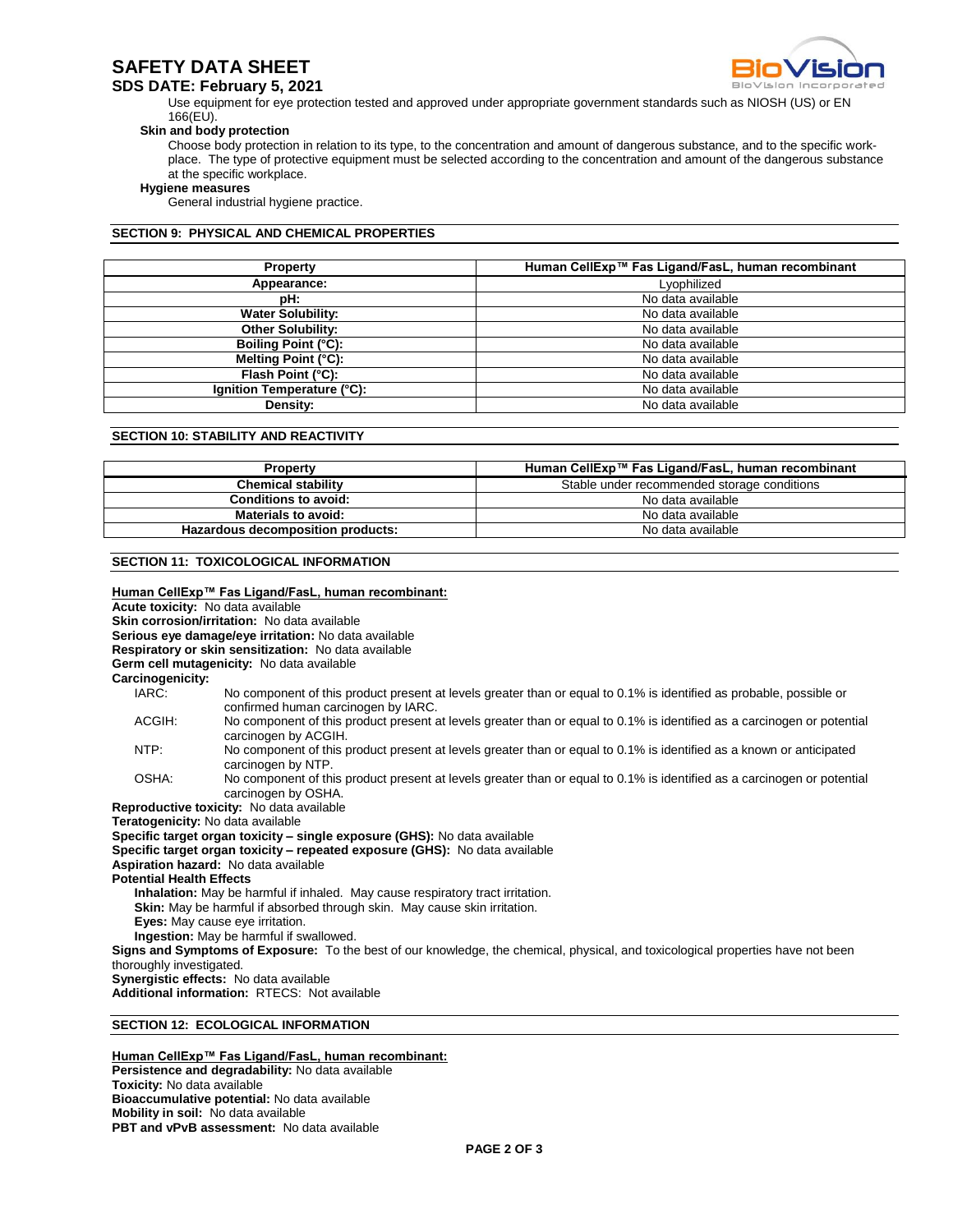# **SAFETY DATA SHEET**

## **SDS DATE: February 5, 2021**

Use equipment for eye protection tested and approved under appropriate government standards such as NIOSH (US) or EN 166(EU).

### **Skin and body protection**

Choose body protection in relation to its type, to the concentration and amount of dangerous substance, and to the specific workplace. The type of protective equipment must be selected according to the concentration and amount of the dangerous substance at the specific workplace.

### **Hygiene measures**

General industrial hygiene practice.

## **SECTION 9: PHYSICAL AND CHEMICAL PROPERTIES**

| <b>Property</b>            | Human CellExp™ Fas Ligand/FasL, human recombinant |  |  |
|----------------------------|---------------------------------------------------|--|--|
| Appearance:                | Lyophilized                                       |  |  |
| pH:                        | No data available                                 |  |  |
| <b>Water Solubility:</b>   | No data available                                 |  |  |
| <b>Other Solubility:</b>   | No data available                                 |  |  |
| Boiling Point (°C):        | No data available                                 |  |  |
| Melting Point (°C):        | No data available                                 |  |  |
| Flash Point (°C):          | No data available                                 |  |  |
| Ignition Temperature (°C): | No data available                                 |  |  |
| Density:                   | No data available                                 |  |  |

## **SECTION 10: STABILITY AND REACTIVITY**

| <b>Property</b>                   | Human CellExp™ Fas Ligand/FasL, human recombinant |  |
|-----------------------------------|---------------------------------------------------|--|
| <b>Chemical stability</b>         | Stable under recommended storage conditions       |  |
| Conditions to avoid:              | No data available                                 |  |
| <b>Materials to avoid:</b>        | No data available                                 |  |
| Hazardous decomposition products: | No data available                                 |  |

## **SECTION 11: TOXICOLOGICAL INFORMATION**

|                                                                                                                                                          | Human CellExp™ Fas Ligand/FasL, human recombinant:<br>Acute toxicity: No data available<br>Skin corrosion/irritation: No data available<br>Serious eye damage/eye irritation: No data available<br>Respiratory or skin sensitization: No data available<br>Germ cell mutagenicity: No data available |  |
|----------------------------------------------------------------------------------------------------------------------------------------------------------|------------------------------------------------------------------------------------------------------------------------------------------------------------------------------------------------------------------------------------------------------------------------------------------------------|--|
| Carcinogenicity:                                                                                                                                         |                                                                                                                                                                                                                                                                                                      |  |
| IARC:                                                                                                                                                    | No component of this product present at levels greater than or equal to 0.1% is identified as probable, possible or<br>confirmed human carcinogen by IARC.                                                                                                                                           |  |
| ACGIH:                                                                                                                                                   | No component of this product present at levels greater than or equal to 0.1% is identified as a carcinogen or potential<br>carcinogen by ACGIH.                                                                                                                                                      |  |
| NTP:                                                                                                                                                     | No component of this product present at levels greater than or equal to 0.1% is identified as a known or anticipated<br>carcinogen by NTP.                                                                                                                                                           |  |
| OSHA:                                                                                                                                                    | No component of this product present at levels greater than or equal to 0.1% is identified as a carcinogen or potential<br>carcinogen by OSHA.                                                                                                                                                       |  |
|                                                                                                                                                          | Reproductive toxicity: No data available                                                                                                                                                                                                                                                             |  |
|                                                                                                                                                          | Teratogenicity: No data available                                                                                                                                                                                                                                                                    |  |
|                                                                                                                                                          |                                                                                                                                                                                                                                                                                                      |  |
| Specific target organ toxicity – single exposure (GHS): No data available<br>Specific target organ toxicity - repeated exposure (GHS): No data available |                                                                                                                                                                                                                                                                                                      |  |
|                                                                                                                                                          | <b>Aspiration hazard:</b> No data available                                                                                                                                                                                                                                                          |  |
| <b>Potential Health Effects</b>                                                                                                                          |                                                                                                                                                                                                                                                                                                      |  |
|                                                                                                                                                          |                                                                                                                                                                                                                                                                                                      |  |
|                                                                                                                                                          | Inhalation: May be harmful if inhaled. May cause respiratory tract irritation.<br><b>Skin:</b> May be harmful if absorbed through skin. May cause skin irritation.                                                                                                                                   |  |
|                                                                                                                                                          | Eyes: May cause eye irritation.                                                                                                                                                                                                                                                                      |  |
|                                                                                                                                                          | Ingestion: May be harmful if swallowed.                                                                                                                                                                                                                                                              |  |
|                                                                                                                                                          |                                                                                                                                                                                                                                                                                                      |  |
|                                                                                                                                                          | Signs and Symptoms of Exposure: To the best of our knowledge, the chemical, physical, and toxicological properties have not been                                                                                                                                                                     |  |
| thoroughly investigated.                                                                                                                                 |                                                                                                                                                                                                                                                                                                      |  |
|                                                                                                                                                          | Synergistic effects: No data available                                                                                                                                                                                                                                                               |  |
| Additional information: RTECS: Not available                                                                                                             |                                                                                                                                                                                                                                                                                                      |  |
|                                                                                                                                                          | <b>SECTION 12: ECOLOGICAL INFORMATION</b>                                                                                                                                                                                                                                                            |  |

**Human CellExp™ Fas Ligand/FasL, human recombinant: Persistence and degradability:** No data available **Toxicity:** No data available **Bioaccumulative potential:** No data available **Mobility in soil:** No data available **PBT and vPvB assessment:** No data available